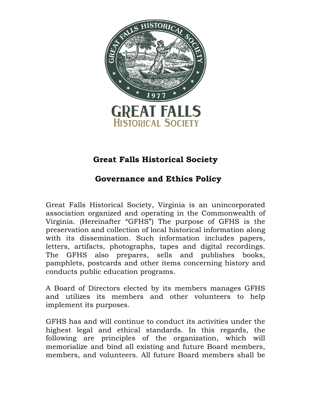

# **Great Falls Historical Society**

# **Governance and Ethics Policy**

Great Falls Historical Society, Virginia is an unincorporated association organized and operating in the Commonwealth of Virginia. (Hereinafter "GFHS") The purpose of GFHS is the preservation and collection of local historical information along with its dissemination. Such information includes papers, letters, artifacts, photographs, tapes and digital recordings. The GFHS also prepares, sells and publishes books, pamphlets, postcards and other items concerning history and conducts public education programs.

A Board of Directors elected by its members manages GFHS and utilizes its members and other volunteers to help implement its purposes.

GFHS has and will continue to conduct its activities under the highest legal and ethical standards. In this regards, the following are principles of the organization, which will memorialize and bind all existing and future Board members, members, and volunteers. All future Board members shall be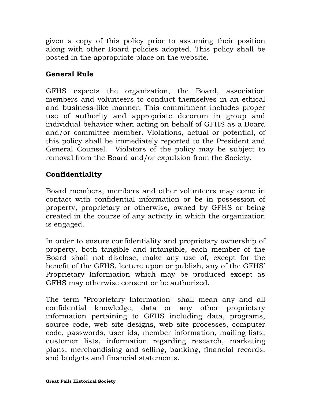given a copy of this policy prior to assuming their position along with other Board policies adopted. This policy shall be posted in the appropriate place on the website.

## **General Rule**

GFHS expects the organization, the Board, association members and volunteers to conduct themselves in an ethical and business-like manner. This commitment includes proper use of authority and appropriate decorum in group and individual behavior when acting on behalf of GFHS as a Board and/or committee member. Violations, actual or potential, of this policy shall be immediately reported to the President and General Counsel. Violators of the policy may be subject to removal from the Board and/or expulsion from the Society.

## **Confidentiality**

Board members, members and other volunteers may come in contact with confidential information or be in possession of property, proprietary or otherwise, owned by GFHS or being created in the course of any activity in which the organization is engaged.

In order to ensure confidentiality and proprietary ownership of property, both tangible and intangible, each member of the Board shall not disclose, make any use of, except for the benefit of the GFHS, lecture upon or publish, any of the GFHS' Proprietary Information which may be produced except as GFHS may otherwise consent or be authorized.

The term "Proprietary Information" shall mean any and all confidential knowledge, data or any other proprietary information pertaining to GFHS including data, programs, source code, web site designs, web site processes, computer code, passwords, user ids, member information, mailing lists, customer lists, information regarding research, marketing plans, merchandising and selling, banking, financial records, and budgets and financial statements.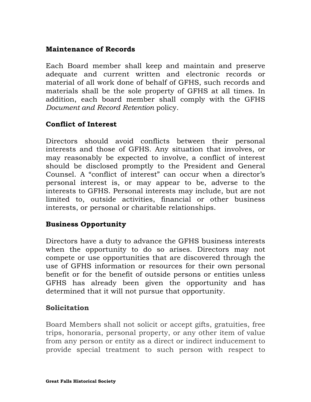#### **Maintenance of Records**

Each Board member shall keep and maintain and preserve adequate and current written and electronic records or material of all work done of behalf of GFHS, such records and materials shall be the sole property of GFHS at all times. In addition, each board member shall comply with the GFHS *Document and Record Retention* policy.

#### **Conflict of Interest**

Directors should avoid conflicts between their personal interests and those of GFHS. Any situation that involves, or may reasonably be expected to involve, a conflict of interest should be disclosed promptly to the President and General Counsel. A "conflict of interest" can occur when a director's personal interest is, or may appear to be, adverse to the interests to GFHS. Personal interests may include, but are not limited to, outside activities, financial or other business interests, or personal or charitable relationships.

#### **Business Opportunity**

Directors have a duty to advance the GFHS business interests when the opportunity to do so arises. Directors may not compete or use opportunities that are discovered through the use of GFHS information or resources for their own personal benefit or for the benefit of outside persons or entities unless GFHS has already been given the opportunity and has determined that it will not pursue that opportunity.

#### **Solicitation**

Board Members shall not solicit or accept gifts, gratuities, free trips, honoraria, personal property, or any other item of value from any person or entity as a direct or indirect inducement to provide special treatment to such person with respect to